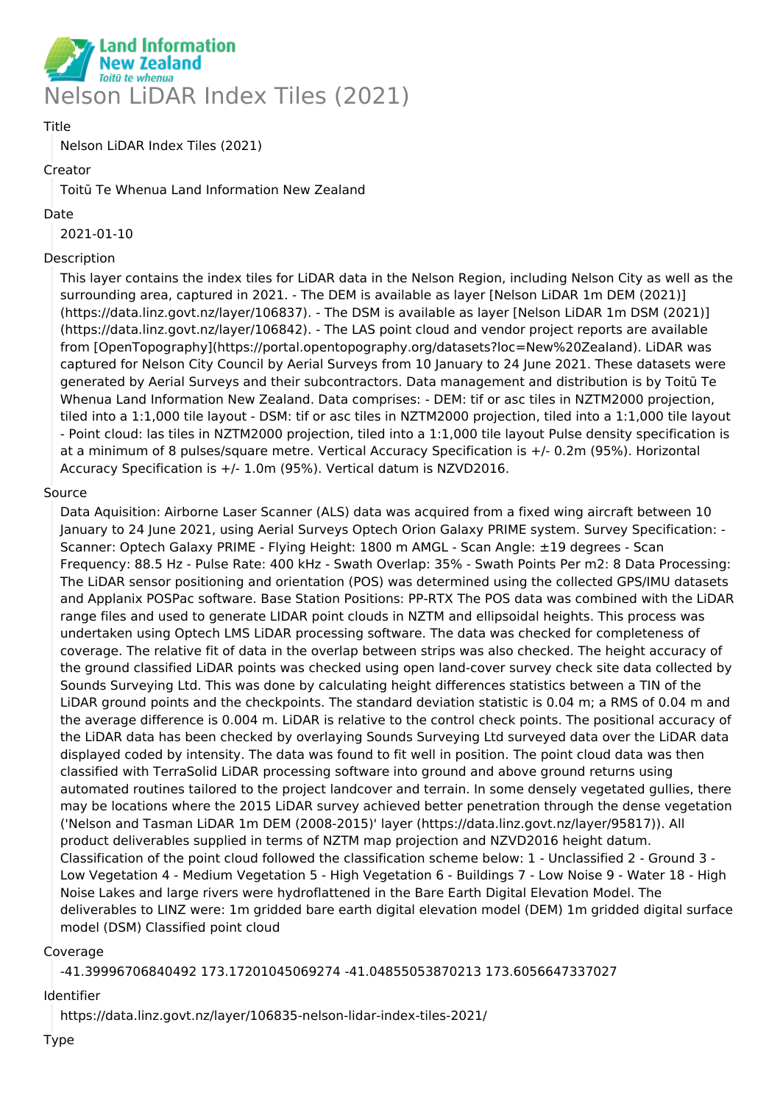

### Title

Nelson LiDAR Index Tiles (2021)

# Creator

Toitū Te Whenua Land Information New Zealand

### Date

2021-01-10

# Description

This layer contains the index tiles for LiDAR data in the Nelson Region, including Nelson City as well as the surrounding area, captured in 2021. - The DEM is available as layer [Nelson LiDAR 1m DEM (2021)] (https://data.linz.govt.nz/layer/106837). - The DSM is available as layer [Nelson LiDAR 1m DSM (2021)] (https://data.linz.govt.nz/layer/106842). - The LAS point cloud and vendor project reports are available from [OpenTopography](https://portal.opentopography.org/datasets?loc=New%20Zealand). LiDAR was captured for Nelson City Council by Aerial Surveys from 10 January to 24 June 2021. These datasets were generated by Aerial Surveys and their subcontractors. Data management and distribution is by Toitū Te Whenua Land Information New Zealand. Data comprises: - DEM: tif or asc tiles in NZTM2000 projection, tiled into a 1:1,000 tile layout - DSM: tif or asc tiles in NZTM2000 projection, tiled into a 1:1,000 tile layout - Point cloud: las tiles in NZTM2000 projection, tiled into a 1:1,000 tile layout Pulse density specification is at a minimum of 8 pulses/square metre. Vertical Accuracy Specification is +/- 0.2m (95%). Horizontal Accuracy Specification is +/- 1.0m (95%). Vertical datum is NZVD2016.

# Source

Data Aquisition: Airborne Laser Scanner (ALS) data was acquired from a fixed wing aircraft between 10 January to 24 June 2021, using Aerial Surveys Optech Orion Galaxy PRIME system. Survey Specification: - Scanner: Optech Galaxy PRIME - Flying Height: 1800 m AMGL - Scan Angle: ±19 degrees - Scan Frequency: 88.5 Hz - Pulse Rate: 400 kHz - Swath Overlap: 35% - Swath Points Per m2: 8 Data Processing: The LiDAR sensor positioning and orientation (POS) was determined using the collected GPS/IMU datasets and Applanix POSPac software. Base Station Positions: PP-RTX The POS data was combined with the LiDAR range files and used to generate LIDAR point clouds in NZTM and ellipsoidal heights. This process was undertaken using Optech LMS LiDAR processing software. The data was checked for completeness of coverage. The relative fit of data in the overlap between strips was also checked. The height accuracy of the ground classified LiDAR points was checked using open land-cover survey check site data collected by Sounds Surveying Ltd. This was done by calculating height differences statistics between a TIN of the LiDAR ground points and the checkpoints. The standard deviation statistic is 0.04 m; a RMS of 0.04 m and the average difference is 0.004 m. LiDAR is relative to the control check points. The positional accuracy of the LiDAR data has been checked by overlaying Sounds Surveying Ltd surveyed data over the LiDAR data displayed coded by intensity. The data was found to fit well in position. The point cloud data was then classified with TerraSolid LiDAR processing software into ground and above ground returns using automated routines tailored to the project landcover and terrain. In some densely vegetated gullies, there may be locations where the 2015 LiDAR survey achieved better penetration through the dense vegetation ('Nelson and Tasman LiDAR 1m DEM (2008-2015)' layer (https://data.linz.govt.nz/layer/95817)). All product deliverables supplied in terms of NZTM map projection and NZVD2016 height datum. Classification of the point cloud followed the classification scheme below: 1 - Unclassified 2 - Ground 3 - Low Vegetation 4 - Medium Vegetation 5 - High Vegetation 6 - Buildings 7 - Low Noise 9 - Water 18 - High Noise Lakes and large rivers were hydroflattened in the Bare Earth Digital Elevation Model. The deliverables to LINZ were: 1m gridded bare earth digital elevation model (DEM) 1m gridded digital surface model (DSM) Classified point cloud

# Coverage

-41.39996706840492 173.17201045069274 -41.04855053870213 173.6056647337027

# Identifier

https://data.linz.govt.nz/layer/106835-nelson-lidar-index-tiles-2021/

Type